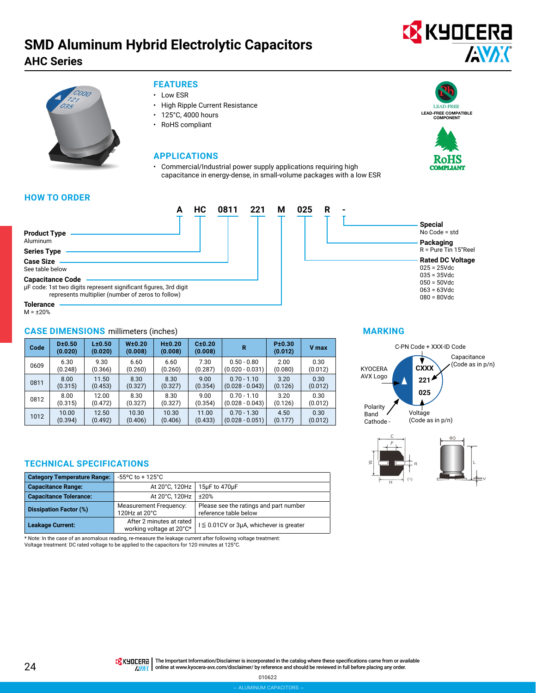## **SMD Aluminum Hybrid Electrolytic Capacitors AHC Series**

# **EX** KYOCERA **ANAK**



#### **FEATURES**

- Low ESR
- High Ripple Current Resistance
- 125°C, 4000 hours
- RoHS compliant

#### **APPLICATIONS**

• Commercial/Industrial power supply applications requiring high capacitance in energy-dense, in small-volume packages with a low ESR



**Special** No Code = std **Packaging** R = Pure Tin 15"Reel **Rated DC Voltage** 025 = 25Vdc 035 = 35Vdc 050 = 50Vdc  $063 = 63$ Vdc  $080 = 80$ Vdc

### **HOW TO ORDER**



 $M = \pm 20\%$ 

#### **CASE DIMENSIONS** millimeters (inches)

| Code | D±0.50<br>(0.020) | L±0.50<br>(0.020) | W <sub>±</sub> 0.20<br>(0.008) | H±0.20<br>(0.008) | C±0.20<br>(0.008) | R                 | P±0.30<br>(0.012) | V max   |
|------|-------------------|-------------------|--------------------------------|-------------------|-------------------|-------------------|-------------------|---------|
| 0609 | 6.30              | 9.30              | 6.60                           | 6.60              | 7.30              | $0.50 - 0.80$     | 2.00              | 0.30    |
|      | (0.248)           | (0.366)           | (0.260)                        | (0.260)           | (0.287)           | $(0.020 - 0.031)$ | (0.080)           | (0.012) |
| 0811 | 8.00              | 11.50             | 8.30                           | 8.30              | 9.00              | $0.70 - 1.10$     | 3.20              | 0.30    |
|      | (0.315)           | (0.453)           | (0.327)                        | (0.327)           | (0.354)           | $(0.028 - 0.043)$ | (0.126)           | (0.012) |
| 0812 | 8.00              | 12.00             | 8.30                           | 8.30              | 9.00              | $0.70 - 1.10$     | 3.20              | 0.30    |
|      | (0.315)           | (0.472)           | (0.327)                        | (0.327)           | (0.354)           | $(0.028 - 0.043)$ | (0.126)           | (0.012) |
| 1012 | 10.00             | 12.50             | 10.30                          | 10.30             | 11.00             | $0.70 - 1.30$     | 4.50              | 0.30    |
|      | (0.394)           | (0.492)           | (0.406)                        | (0.406)           | (0.433)           | $(0.028 - 0.051)$ | (0.177)           | (0.012) |

#### **TECHNICAL SPECIFICATIONS**

| <b>Category Temperature Range:</b> | -55°C to + 125°C                                     |                                                                 |
|------------------------------------|------------------------------------------------------|-----------------------------------------------------------------|
| <b>Capacitance Range:</b>          | At 20°C, 120Hz                                       | 15µF to 470µF                                                   |
| <b>Capacitance Tolerance:</b>      | At 20°C, 120Hz                                       | ±20%                                                            |
| <b>Dissipation Factor (%)</b>      | <b>Measurement Frequency:</b><br>120Hz at 20°C       | Please see the ratings and part number<br>reference table below |
| <b>Leakage Current:</b>            | After 2 minutes at rated<br>working voltage at 20°C* | $I \leq 0.01$ CV or 3µA, whichever is greater                   |

\* Note: In the case of an anomalous reading, re-measure the leakage current after following voltage treatment: Voltage treatment: DC rated voltage to be applied to the capacitors for 120 minutes at 125°C.

#### **MARKING**



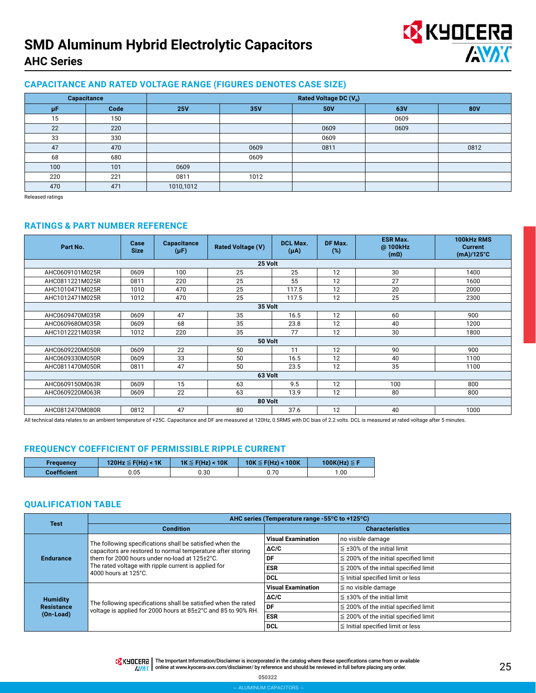# **SMD Aluminum Hybrid Electrolytic Capacitors AHC Series**



#### **CAPACITANCE AND RATED VOLTAGE RANGE (FIGURES DENOTES CASE SIZE)**

| Capacitance |      | Rated Voltage DC (V <sub>R</sub> ) |      |      |      |            |  |  |  |
|-------------|------|------------------------------------|------|------|------|------------|--|--|--|
| μF          | Code | <b>25V</b>                         | 35V  | 50V  | 63V  | <b>80V</b> |  |  |  |
| 15          | 150  |                                    |      |      | 0609 |            |  |  |  |
| 22          | 220  |                                    |      | 0609 | 0609 |            |  |  |  |
| 33          | 330  |                                    |      | 0609 |      |            |  |  |  |
| 47          | 470  |                                    | 0609 | 0811 |      | 0812       |  |  |  |
| 68          | 680  |                                    | 0609 |      |      |            |  |  |  |
| 100         | 101  | 0609                               |      |      |      |            |  |  |  |
| 220         | 221  | 0811                               | 1012 |      |      |            |  |  |  |
| 470         | 471  | 1010,1012                          |      |      |      |            |  |  |  |

Released ratings

#### **RATINGS & PART NUMBER REFERENCE**

| Part No.        | Case<br><b>Size</b> | <b>Capacitance</b><br>$(\mu F)$ | <b>Rated Voltage (V)</b> | <b>DCL Max.</b><br>$(\mu A)$ | DF Max.<br>$(\%)$ | <b>ESR Max.</b><br>@100kHz<br>(m <sub>0</sub> ) | 100kHz RMS<br><b>Current</b><br>$(mA)/125^{\circ}C$ |  |  |
|-----------------|---------------------|---------------------------------|--------------------------|------------------------------|-------------------|-------------------------------------------------|-----------------------------------------------------|--|--|
| 25 Volt         |                     |                                 |                          |                              |                   |                                                 |                                                     |  |  |
| AHC0609101M025R | 0609                | 100                             | 25                       | 25                           | 12                | 30                                              | 1400                                                |  |  |
| AHC0811221M025R | 0811                | 220                             | 25                       | 55                           | 12                | 27                                              | 1600                                                |  |  |
| AHC1010471M025R | 1010                | 470                             | 25                       | 117.5                        | 12                | 20                                              | 2000                                                |  |  |
| AHC1012471M025R | 1012                | 470                             | 25                       | 117.5                        | 12                | 25                                              | 2300                                                |  |  |
|                 |                     |                                 | 35 Volt                  |                              |                   |                                                 |                                                     |  |  |
| AHC0609470M035R | 0609                | 47                              | 35                       | 16.5                         | 12                | 60                                              | 900                                                 |  |  |
| AHC0609680M035R | 0609                | 68                              | 35                       | 23.8                         | 12                | 40                                              | 1200                                                |  |  |
| AHC1012221M035R | 1012                | 220                             | 35                       | 77                           | 12                | 30                                              | 1800                                                |  |  |
|                 |                     |                                 | 50 Volt                  |                              |                   |                                                 |                                                     |  |  |
| AHC0609220M050R | 0609                | 22                              | 50                       | 11                           | 12                | 90                                              | 900                                                 |  |  |
| AHC0609330M050R | 0609                | 33                              | 50                       | 16.5                         | 12                | 40                                              | 1100                                                |  |  |
| AHC0811470M050R | 0811                | 47                              | 50                       | 23.5                         | 12                | 35                                              | 1100                                                |  |  |
|                 |                     |                                 | 63 Volt                  |                              |                   |                                                 |                                                     |  |  |
| AHC0609150M063R | 0609                | 15                              | 63                       | 9.5                          | 12                | 100                                             | 800                                                 |  |  |
| AHC0609220M063R | 0609                | 22                              | 63                       | 13.9                         | 12                | 80                                              | 800                                                 |  |  |
|                 | 80 Volt             |                                 |                          |                              |                   |                                                 |                                                     |  |  |
| AHC0812470M080R | 0812                | 47                              | 80                       | 37.6                         | 12                | 40                                              | 1000                                                |  |  |

All technical data relates to an ambient temperature of +25C. Capacitance and DF are measured at 120Hz, 0.5RMS with DC bias of 2.2 volts. DCL is measured at rated voltage after 5 minutes.

#### **FREQUENCY COEFFICIENT OF PERMISSIBLE RIPPLE CURRENT**

| <b>Frequency</b>   | 120Hz $\leq$ F(Hz) < 1K | $1K \leq F(Hz) < 10K$ | $10K \leq F(Hz) < 100K$ | 100K(Hz) $\leq$ F |
|--------------------|-------------------------|-----------------------|-------------------------|-------------------|
| <b>Coefficient</b> | ა.05                    | 0.30                  | 0.70                    | 1.00              |

#### **QUALIFICATION TABLE**

| <b>Test</b>                          | AHC series (Temperature range -55°C to +125°C)                                                                                  |                           |                                            |  |  |  |  |
|--------------------------------------|---------------------------------------------------------------------------------------------------------------------------------|---------------------------|--------------------------------------------|--|--|--|--|
|                                      | <b>Condition</b>                                                                                                                | <b>Characteristics</b>    |                                            |  |  |  |  |
|                                      | The following specifications shall be satisfied when the                                                                        | <b>Visual Examination</b> | no visible damage                          |  |  |  |  |
|                                      | capacitors are restored to normal temperature after storing                                                                     | $\Delta C/C$              | $\leq$ ±30% of the initial limit           |  |  |  |  |
| <b>Endurance</b>                     | them for 2000 hours under no-load at 125±2°C.<br>The rated voltage with ripple current is applied for<br>4000 hours at 125°C.   | DF                        | $\leq$ 200% of the initial specified limit |  |  |  |  |
|                                      |                                                                                                                                 | <b>ESR</b>                | $\leq$ 200% of the initial specified limit |  |  |  |  |
|                                      |                                                                                                                                 | DCL                       | $\leq$ Initial specified limit or less     |  |  |  |  |
|                                      |                                                                                                                                 | <b>Visual Examination</b> | $\leq$ no visible damage                   |  |  |  |  |
| <b>Humidity</b>                      |                                                                                                                                 | $\Delta C/C$              | $\leq$ ±30% of the initial limit           |  |  |  |  |
| <b>Resistance</b><br>$(On$ -Load $)$ | The following specifications shall be satisfied when the rated<br>voltage is applied for 2000 hours at 85±2°C and 85 to 90% RH. | DF                        | $\leq$ 200% of the initial specified limit |  |  |  |  |
|                                      |                                                                                                                                 | <b>ESR</b>                | $\leq$ 200% of the initial specified limit |  |  |  |  |
|                                      |                                                                                                                                 | <b>DCL</b>                | $\leq$ Initial specified limit or less     |  |  |  |  |

THE IMPO THE Important Information/Disclaimer is incorporated in the catalog where these specifications came from or available AVAX online at [www.kyocera-avx.com/disclaimer/](http://www.kyocera-avx.com/disclaimer/) by reference and should be reviewed in full before placing any order.